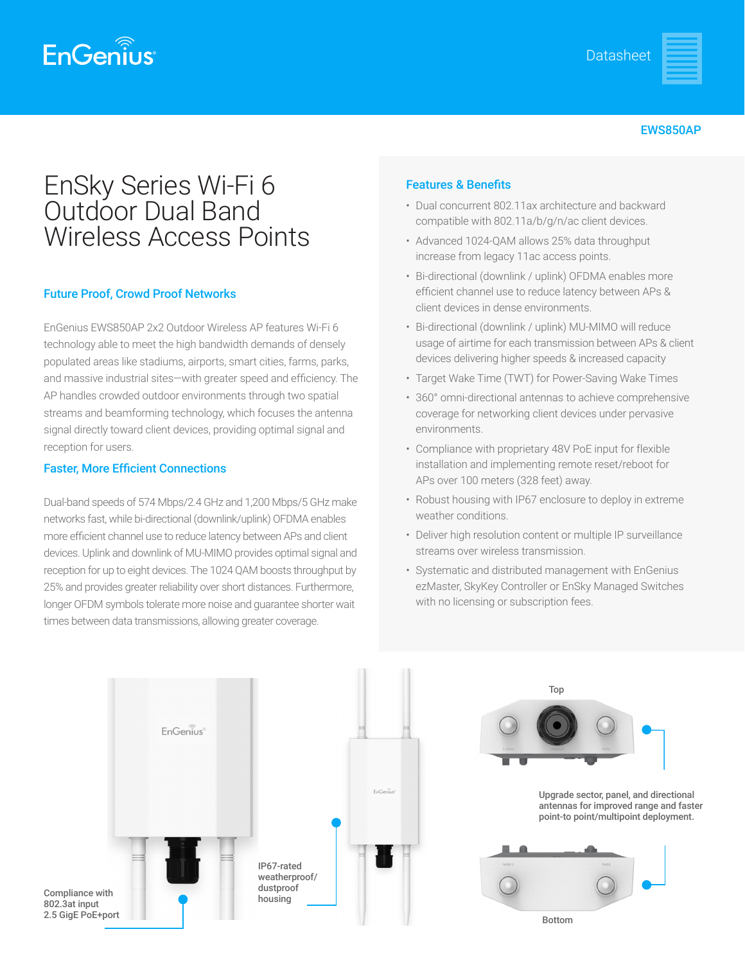

### EWS850AP

# EnSky Series Wi-Fi 6 Outdoor Dual Band Wireless Access Points

### Future Proof, Crowd Proof Networks

EnGenius EWS850AP 2x2 Outdoor Wireless AP features Wi-Fi 6 technology able to meet the high bandwidth demands of densely populated areas like stadiums, airports, smart cities, farms, parks, and massive industrial sites—with greater speed and efficiency. The AP handles crowded outdoor environments through two spatial streams and beamforming technology, which focuses the antenna signal directly toward client devices, providing optimal signal and reception for users.

### Faster, More Efficient Connections

Dual-band speeds of 574 Mbps/2.4 GHz and 1,200 Mbps/5 GHz make networks fast, while bi-directional (downlink/uplink) OFDMA enables more efficient channel use to reduce latency between APs and client devices. Uplink and downlink of MU-MIMO provides optimal signal and reception for up to eight devices. The 1024 QAM boosts throughput by 25% and provides greater reliability over short distances. Furthermore, longer OFDM symbols tolerate more noise and guarantee shorter wait times between data transmissions, allowing greater coverage.

### Features & Benefits

- Dual concurrent 802.11ax architecture and backward compatible with 802.11a/b/g/n/ac client devices.
- Advanced 1024-QAM allows 25% data throughput increase from legacy 11ac access points.
- Bi-directional (downlink / uplink) OFDMA enables more efficient channel use to reduce latency between APs & client devices in dense environments.
- Bi-directional (downlink / uplink) MU-MIMO will reduce usage of airtime for each transmission between APs & client devices delivering higher speeds & increased capacity
- Target Wake Time (TWT) for Power-Saving Wake Times
- 360° omni-directional antennas to achieve comprehensive coverage for networking client devices under pervasive environments.
- Compliance with proprietary 48V PoE input for flexible installation and implementing remote reset/reboot for APs over 100 meters (328 feet) away.
- Robust housing with IP67 enclosure to deploy in extreme weather conditions.
- Deliver high resolution content or multiple IP surveillance streams over wireless transmission.
- Systematic and distributed management with EnGenius ezMaster, SkyKey Controller or EnSky Managed Switches with no licensing or subscription fees.

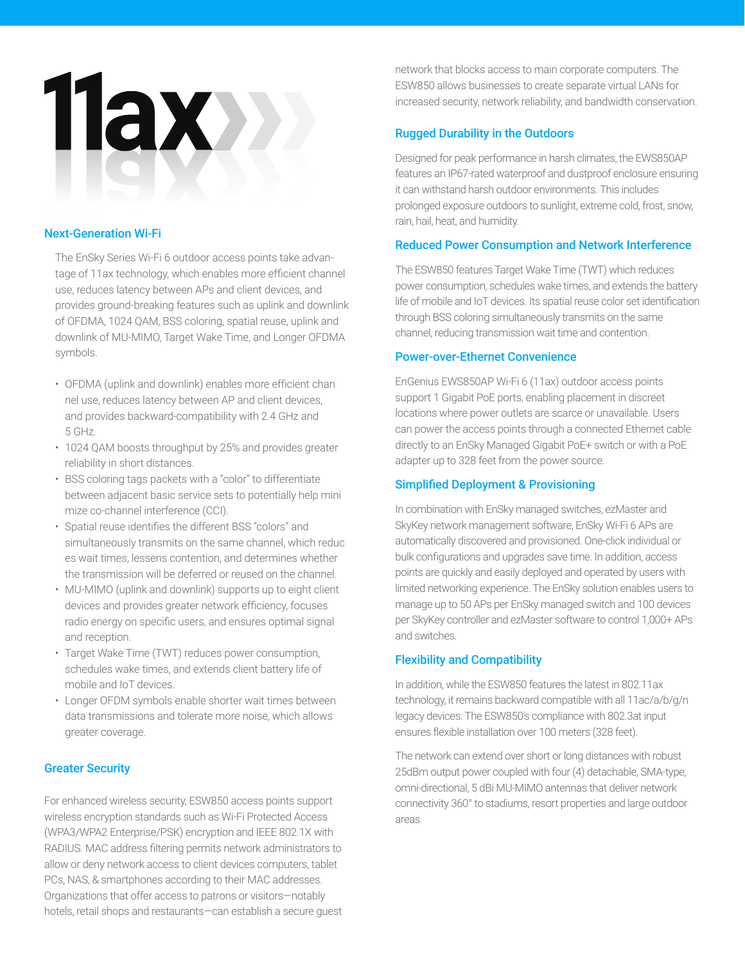# **Tlax**

### Next-Generation Wi-Fi

The EnSky Series Wi-Fi 6 outdoor access points take advantage of 11ax technology, which enables more efficient channel use, reduces latency between APs and client devices, and provides ground-breaking features such as uplink and downlink of OFDMA, 1024 QAM, BSS coloring, spatial reuse, uplink and downlink of MU-MIMO, Target Wake Time, and Longer OFDMA symbols.

- OFDMA (uplink and downlink) enables more efficient chan nel use, reduces latency between AP and client devices, and provides backward-compatibility with 2.4 GHz and 5 GHz.
- 1024 QAM boosts throughput by 25% and provides greater reliability in short distances.
- BSS coloring tags packets with a "color" to differentiate between adjacent basic service sets to potentially help mini mize co-channel interference (CCI).
- Spatial reuse identifies the different BSS "colors" and simultaneously transmits on the same channel, which reduc es wait times, lessens contention, and determines whether the transmission will be deferred or reused on the channel.
- MU-MIMO (uplink and downlink) supports up to eight client devices and provides greater network efficiency, focuses radio energy on specific users, and ensures optimal signal and reception.
- Target Wake Time (TWT) reduces power consumption, schedules wake times, and extends client battery life of mobile and IoT devices.
- Longer OFDM symbols enable shorter wait times between data transmissions and tolerate more noise, which allows greater coverage.

### Greater Security

For enhanced wireless security, ESW850 access points support wireless encryption standards such as Wi-Fi Protected Access (WPA3/WPA2 Enterprise/PSK) encryption and IEEE 802.1X with RADIUS. MAC address filtering permits network administrators to allow or deny network access to client devices computers, tablet PCs, NAS, & smartphones according to their MAC addresses. Organizations that offer access to patrons or visitors—notably hotels, retail shops and restaurants—can establish a secure guest network that blocks access to main corporate computers. The ESW850 allows businesses to create separate virtual LANs for increased security, network reliability, and bandwidth conservation.

### Rugged Durability in the Outdoors

Designed for peak performance in harsh climates, the EWS850AP features an IP67-rated waterproof and dustproof enclosure ensuring it can withstand harsh outdoor environments. This includes prolonged exposure outdoors to sunlight, extreme cold, frost, snow, rain, hail, heat, and humidity.

### Reduced Power Consumption and Network Interference

The ESW850 features Target Wake Time (TWT) which reduces power consumption, schedules wake times, and extends the battery life of mobile and IoT devices. Its spatial reuse color set identification through BSS coloring simultaneously transmits on the same channel, reducing transmission wait time and contention.

### Power-over-Ethernet Convenience

EnGenius EWS850AP Wi-Fi 6 (11ax) outdoor access points support 1 Gigabit PoE ports, enabling placement in discreet locations where power outlets are scarce or unavailable. Users can power the access points through a connected Ethernet cable directly to an EnSky Managed Gigabit PoE+ switch or with a PoE adapter up to 328 feet from the power source.

### Simplified Deployment & Provisioning

In combination with EnSky managed switches, ezMaster and SkyKey network management software, EnSky Wi-Fi 6 APs are automatically discovered and provisioned. One-click individual or bulk configurations and upgrades save time. In addition, access points are quickly and easily deployed and operated by users with limited networking experience. The EnSky solution enables users to manage up to 50 APs per EnSky managed switch and 100 devices per SkyKey controller and ezMaster software to control 1,000+ APs and switches.

### Flexibility and Compatibility

In addition, while the ESW850 features the latest in 802.11ax technology, it remains backward compatible with all 11ac/a/b/g/n legacy devices. The ESW850's compliance with 802.3at input ensures flexible installation over 100 meters (328 feet).

The network can extend over short or long distances with robust 25dBm output power coupled with four (4) detachable, SMA-type, omni-directional, 5 dBi MU-MIMO antennas that deliver network connectivity 360° to stadiums, resort properties and large outdoor areas.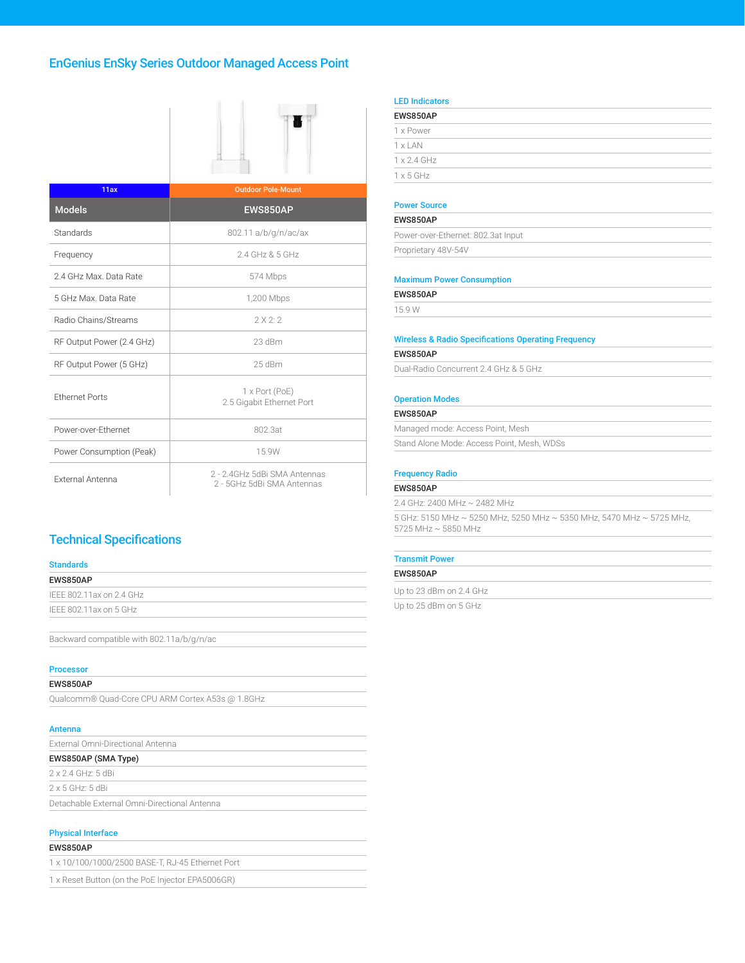### EnGenius EnSky Series Outdoor Managed Access Point



| 11ax                               | <b>Outdoor Pole-Mount</b>                                  |
|------------------------------------|------------------------------------------------------------|
| <b>Models</b>                      | EWS850AP                                                   |
| Standards                          | 802.11 a/b/g/n/ac/ax                                       |
| Frequency                          | 2.4 GHz & 5 GHz                                            |
| 2.4 GHz Max. Data Rate             | 574 Mbps                                                   |
| 5 GHz Max. Data Rate<br>1,200 Mbps |                                                            |
| Radio Chains/Streams               | 2X2:2                                                      |
| RF Output Power (2.4 GHz)          | 23 dBm                                                     |
| RF Output Power (5 GHz)            | 25 dBm                                                     |
| <b>Fthernet Ports</b>              | 1 x Port (PoE)<br>2.5 Gigabit Ethernet Port                |
| Power-over-Ethernet                | 802.3at                                                    |
| Power Consumption (Peak)           | 15.9W                                                      |
| <b>External Antenna</b>            | 2 - 2.4GHz 5dBi SMA Antennas<br>2 - 5GHz 5dBi SMA Antennas |

### Technical Specifications

### **Standards**

| EWS850AP                 |  |
|--------------------------|--|
| IFFF 802.11ax on 2.4 GHz |  |
| IFFF 802.11ax on 5 GHz   |  |

Backward compatible with 802.11a/b/g/n/ac

| <b>Processor</b>                                 |  |
|--------------------------------------------------|--|
| EWS850AP                                         |  |
| Qualcomm® Quad-Core CPU ARM Cortex A53s @ 1.8GHz |  |
| <b>Antenna</b>                                   |  |
| External Omni-Directional Antenna                |  |
| EWS850AP (SMA Type)                              |  |
| $2 \times 2.4$ GHz: 5 dBi                        |  |
| $2 \times 5$ GHz: $5$ dBi                        |  |
| Detachable External Omni-Directional Antenna     |  |

### Physical Interface

| EWS850AP                                         |
|--------------------------------------------------|
| 1 x 10/100/1000/2500 BASE-T. RJ-45 Ethernet Port |
| 1 x Reset Button (on the PoE Injector EPA5006GR) |
|                                                  |

## LED Indicators

| EWS850AP           |  |
|--------------------|--|
| 1 x Power          |  |
| $1 \times$ LAN     |  |
| $1 \times 2.4$ GHz |  |
| $1 \times 5$ GHz   |  |
|                    |  |

### Power Source

| EWS850AP                           |
|------------------------------------|
| Power-over-Ethernet: 802.3at Input |
| Proprietary 48V-54V                |

### Maximum Power Consumption

| EWS850AP      |  |  |
|---------------|--|--|
| 1 A J<br>15.0 |  |  |

### Wireless & Radio Specifications Operating Frequency

### EWS850AP

15.9 W

Dual-Radio Concurrent 2.4 GHz & 5 GHz

### Operation Modes

### EWS850AP

Managed mode: Access Point, Mesh

Stand Alone Mode: Access Point, Mesh, WDSs

### Frequency Radio

### EWS850AP

2.4 GHz: 2400 MHz ~ 2482 MHz

5 GHz: 5150 MHz ~ 5250 MHz, 5250 MHz ~ 5350 MHz, 5470 MHz ~ 5725 MHz, 5725 MHz ~ 5850 MHz

### Transmit Power

### EWS850AP

Up to 23 dBm on 2.4 GHz

Up to 25 dBm on 5 GHz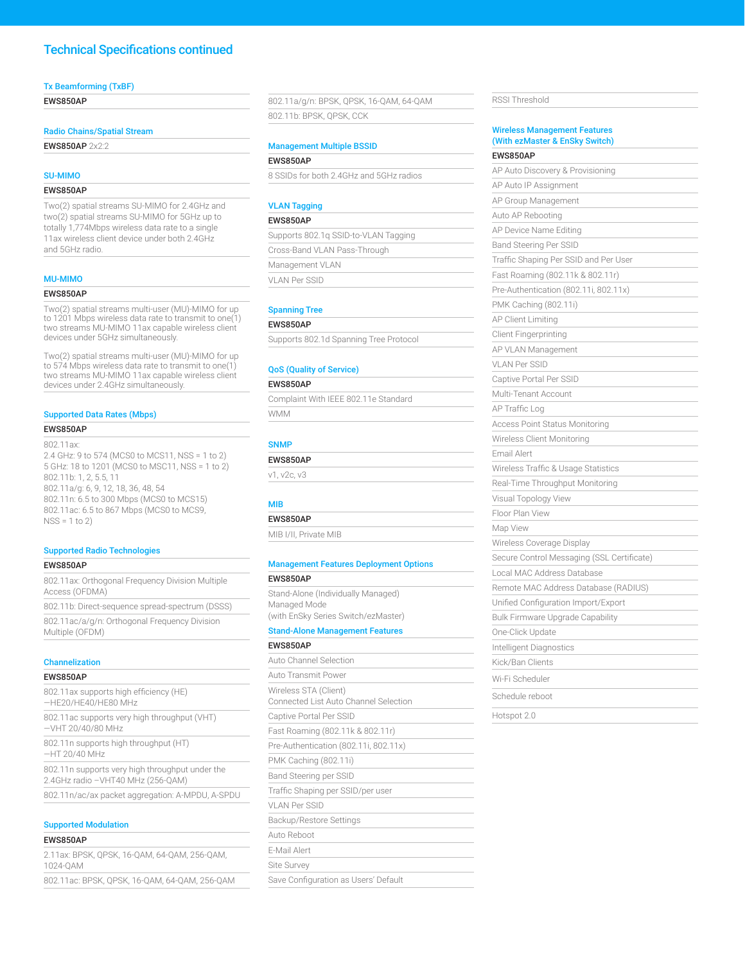### Technical Specifications continued

### Tx Beamforming (TxBF)

EWS850AP

### Radio Chains/Spatial Stream

EWS850AP 2x2:2

### SU-MIMO

### EWS850AP

Two(2) spatial streams SU-MIMO for 2.4GHz and two(2) spatial streams SU-MIMO for 5GHz up to totally 1,774Mbps wireless data rate to a single 11ax wireless client device under both 2.4GHz and 5GHz radio.

### MU-MIMO

### EWS850AP

Two(2) spatial streams multi-user (MU)-MIMO for up to 1201 Mbps wireless data rate to transmit to one(1) two streams MU-MIMO 11ax capable wireless client devices under 5GHz simultaneously.

Two(2) spatial streams multi-user (MU)-MIMO for up to 574 Mbps wireless data rate to transmit to one(1) two streams MU-MIMO 11ax capable wireless client devices under 2.4GHz simultaneously.

### Supported Data Rates (Mbps)

### EWS850AP

802.11ax:

2.4 GHz: 9 to 574 (MCS0 to MCS11, NSS = 1 to 2) 5 GHz: 18 to 1201 (MCS0 to MSC11, NSS = 1 to 2) 802.11b: 1, 2, 5.5, 11 802.11a/g: 6, 9, 12, 18, 36, 48, 54 802.11n: 6.5 to 300 Mbps (MCS0 to MCS15) 802.11ac: 6.5 to 867 Mbps (MCS0 to MCS9,  $NSS = 1 to 2)$ 

### Supported Radio Technologies

### EWS850AP

802.11ax: Orthogonal Frequency Division Multiple Access (OFDMA)

802.11b: Direct-sequence spread-spectrum (DSSS) 802.11ac/a/g/n: Orthogonal Frequency Division

Multiple (OFDM)

### Channelization

| EWS850AP            |                                                                                        |
|---------------------|----------------------------------------------------------------------------------------|
| -HE20/HE40/HE80 MHz | 802.11ax supports high efficiency (HE)                                                 |
| $-VHT 20/40/80 MHz$ | 802.11 ac supports very high throughput (VHT)                                          |
| $-HT 20/40 MHz$     | 802.11 n supports high throughput (HT)                                                 |
|                     | 802.11 n supports very high throughput under the<br>2.4GHz radio - VHT40 MHz (256-QAM) |
|                     | 802.11n/ac/ax packet aggregation: A-MPDU, A-SPDU                                       |

### EWS850AP

2.11ax: BPSK, QPSK, 16-QAM, 64-QAM, 256-QAM, 1024-QAM

802.11ac: BPSK, QPSK, 16-QAM, 64-QAM, 256-QAM

802.11a/g/n: BPSK, QPSK, 16-QAM, 64-QAM 802.11b: BPSK, QPSK, CCK

### Management Multiple BSSID

EWS850AP

### 8 SSIDs for both 2.4GHz and 5GHz radios

### VLAN Tagging

### EWS850AP

Supports 802.1q SSID-to-VLAN Tagging Cross-Band VLAN Pass-Through Management VLAN VLAN Per SSID

### Spanning Tree

EWS850AP

Supports 802.1d Spanning Tree Protocol

### QoS (Quality of Service)

### EWS850AP

Complaint With IEEE 802.11e Standard WMM

### **SNMP**

EWS850AP v1, v2c, v3

### MIB

EWS850AP MIB I/II, Private MIB

### Management Features Deployment Options

EWS850AP

Stand-Alone (Individually Managed) Managed Mode (with EnSky Series Switch/ezMaster)

### Stand-Alone Management Features

| EWS850AP |  |
|----------|--|
|----------|--|

| Auto Channel Selection                                         |
|----------------------------------------------------------------|
| Auto Transmit Power                                            |
| Wireless STA (Client)<br>Connected List Auto Channel Selection |
| Captive Portal Per SSID                                        |
| Fast Roaming (802.11k & 802.11r)                               |
| Pre-Authentication (802.11i, 802.11x)                          |
| PMK Caching (802.11i)                                          |
| Band Steering per SSID                                         |
| Traffic Shaping per SSID/per user                              |
| VI AN Per SSID                                                 |
| Backup/Restore Settings                                        |
| Auto Reboot                                                    |
| E-Mail Alert                                                   |
| <b>Site Survey</b>                                             |
| Save Configuration as Users' Default                           |

### RSSI Threshold Wireless Management Features (With ezMaster & EnSky Switch) EWS850AP AP Auto Discovery & Provisioning AP Auto IP Assignment AP Group Management Auto AP Rebooting AP Device Name Editing Band Steering Per SSID Traffic Shaping Per SSID and Per User Fast Roaming (802.11k & 802.11r) Pre-Authentication (802.11i, 802.11x) PMK Caching (802.11i) AP Client Limiting Client Fingerprinting AP VLAN Management VLAN Per SSID Captive Portal Per SSID Multi-Tenant Account AP Traffic Log Access Point Status Monitoring Wireless Client Monitoring Email Alert Wireless Traffic & Usage Statistics Real-Time Throughput Monitoring Visual Topology View Floor Plan View Map View Wireless Coverage Display Secure Control Messaging (SSL Certificate) Local MAC Address Database Remote MAC Address Database (RADIUS) Unified Configuration Import/Export Bulk Firmware Upgrade Capability One-Click Update Intelligent Diagnostics Kick/Ban Clients Wi-Fi Scheduler Schedule reboot Hotspot 2.0